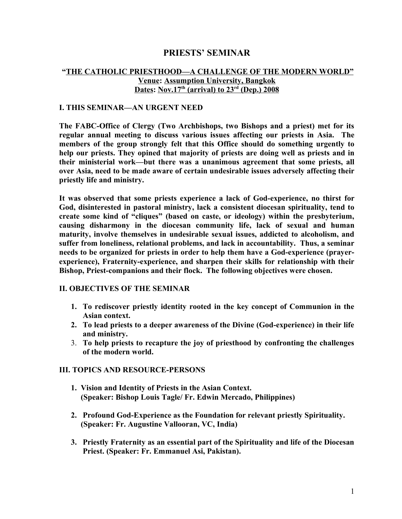# **PRIESTS' SEMINAR**

## **"THE CATHOLIC PRIESTHOOD—A CHALLENGE OF THE MODERN WORLD" Venue: Assumption University, Bangkok Dates: Nov.17th (arrival) to 23rd (Dep.) 2008**

#### **I. THIS SEMINAR—AN URGENT NEED**

**The FABC-Office of Clergy (Two Archbishops, two Bishops and a priest) met for its regular annual meeting to discuss various issues affecting our priests in Asia. The members of the group strongly felt that this Office should do something urgently to help our priests. They opined that majority of priests are doing well as priests and in their ministerial work—but there was a unanimous agreement that some priests, all over Asia, need to be made aware of certain undesirable issues adversely affecting their priestly life and ministry.**

**It was observed that some priests experience a lack of God-experience, no thirst for God, disinterested in pastoral ministry, lack a consistent diocesan spirituality, tend to create some kind of "cliques" (based on caste, or ideology) within the presbyterium, causing disharmony in the diocesan community life, lack of sexual and human maturity, involve themselves in undesirable sexual issues, addicted to alcoholism, and suffer from loneliness, relational problems, and lack in accountability. Thus, a seminar needs to be organized for priests in order to help them have a God-experience (prayerexperience), Fraternity-experience, and sharpen their skills for relationship with their Bishop, Priest-companions and their flock. The following objectives were chosen.**

### **II. OBJECTIVES OF THE SEMINAR**

- **1. To rediscover priestly identity rooted in the key concept of Communion in the Asian context.**
- **2. To lead priests to a deeper awareness of the Divine (God-experience) in their life and ministry.**
- 3. **To help priests to recapture the joy of priesthood by confronting the challenges of the modern world.**

#### **III. TOPICS AND RESOURCE-PERSONS**

- **1. Vision and Identity of Priests in the Asian Context. (Speaker: Bishop Louis Tagle/ Fr. Edwin Mercado, Philippines)**
- **2. Profound God-Experience as the Foundation for relevant priestly Spirituality. (Speaker: Fr. Augustine Vallooran, VC, India)**
- **3. Priestly Fraternity as an essential part of the Spirituality and life of the Diocesan Priest. (Speaker: Fr. Emmanuel Asi, Pakistan).**